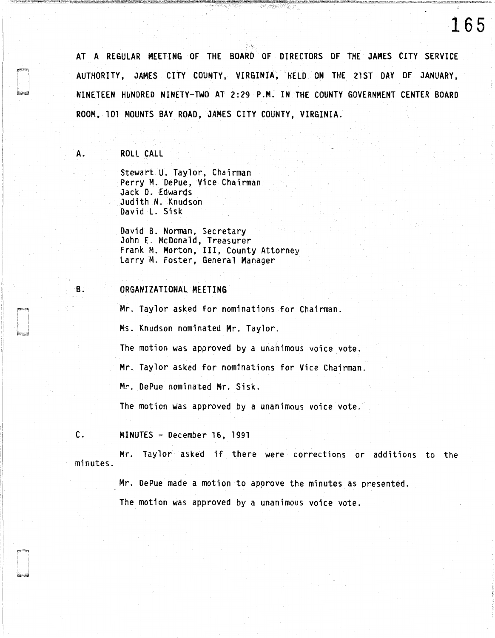AT A REGULAR MEETING OF THE BOARD OF DIRECTORS OF THE JAMES CITY SERVICE AUTHORITY, JAMES CITY COUNTY, VIRGINIA, HELD ON THE 21ST DAY OF JANUARY, NINETEEN HUNDRED NINETY-TWO AT 2: 29 P .M. IN THE COUNTY GOVERNMENT CENTER BOARD ROOM, 101 MOUNTS BAY ROAD, JAMES CITY COUNTY, VIRGINIA.

 $\frac{1}{2} \sum_{i=1}^n \sum_{i=1}^n \sum_{j=1}^n \sum_{j=1}^n \sum_{j=1}^n \sum_{j=1}^n \sum_{j=1}^n \sum_{j=1}^n \sum_{j=1}^n \sum_{j=1}^n \sum_{j=1}^n \sum_{j=1}^n \sum_{j=1}^n \sum_{j=1}^n \sum_{j=1}^n \sum_{j=1}^n \sum_{j=1}^n \sum_{j=1}^n \sum_{j=1}^n \sum_{j=1}^n \sum_{j=1}^n \sum_{j=1}^n \sum_{j=1}^n \sum_{j=1$ 

**165** 

A. ROLL CALL

Stewart U. Taylor, Chairman Perry M. OePue, Vice Chairman Jack D. Edwards Judith N. Knudson David L. Sisk

David B. Norman, Secretary John E. McDonald, Treasurer Frank M. Morton, III, County Attorney Larry M. Foster, General Manager

#### B. ORGANIZATIONAL MEETING

Mr. Taylor asked for nominations for Chairman.

Ms. Knudson nominated Mr. Taylor.

The motion was approved by a unanimous voice vote.

Mr. Taylor asked for nominations for Vice Chairman.

Mr. DePue nominated Mr. Sisk.

The motion was approved by a unanimous voice vote.

C. MINUTES - December 16, 1991

minutes. Mr. Taylor asked if there were corrections or additions to the

Mr. DePue made a motion to approve the minutes as presented.

The motion was approved by a unanimous voice vote.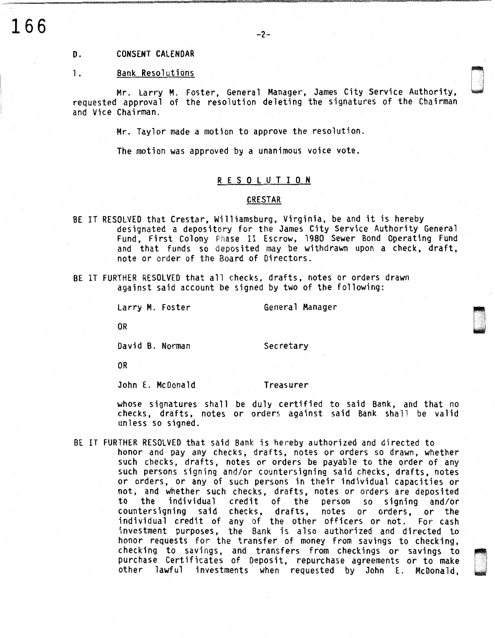# D. CONSENT CALENDAR

## 1. Bank Resolutions

Mr. Larry M. Foster, General Manager, James City Service Authority, requested approval of the resolution deleting the signatures of the Chairman and Vice Chairman.

Mr. Taylor made a motion to approve the resolution.

The motion was approved by a unanimous voice vote.

## R E S 0 L U T I 0 N

#### **CRESTAR**

- BE IT RESOLVED that Crestar, Williamsburg, Virginia, be and it is hereby designated a depository for the James City Service Authority General Fund, First Colony Phase II Escrow, 1980 Sewer Bond Operating Fund and that funds so deposited may be withdrawn upon a check, draft, note or order of the Board of Directors.
- BE IT FURTHER RESOLVED that all checks, drafts, notes or orders drawn against said account be signed by two of the following:

Larry M. Foster General Manager

OR

David B. Norman Secretary

OR

John E. McDonald Treasurer

whose signatures shall be duly certified to said Bank, and that no checks, drafts, notes or orders against said Bank shall be valid unless so signed.

BE IT FURTHER RESOLVED that said Bank is hereby authorized and directed to honor and pay any checks, drafts, notes or orders so drawn, whether such checks, drafts, notes or orders be payable to the order of any such persons signing and/or countersigning said checks, drafts, notes or orders, or any of such persons in their individual capacities or not, and whether such checks, drafts, notes or orders are deposited to the individual credit of the person so signing and/or countersigning said checks, drafts, notes or orders, or the individual credit of any of the other officers or not. For cash investment purposes, the Bank is also authorized and directed to honor requests for the transfer of money from savings to checking, checking to savings, and transfers from checkings or savings to ~ purchase Certificates of Deposit, repurchase agreements or to make other lawful investments when requested by John E. McDonald, ~